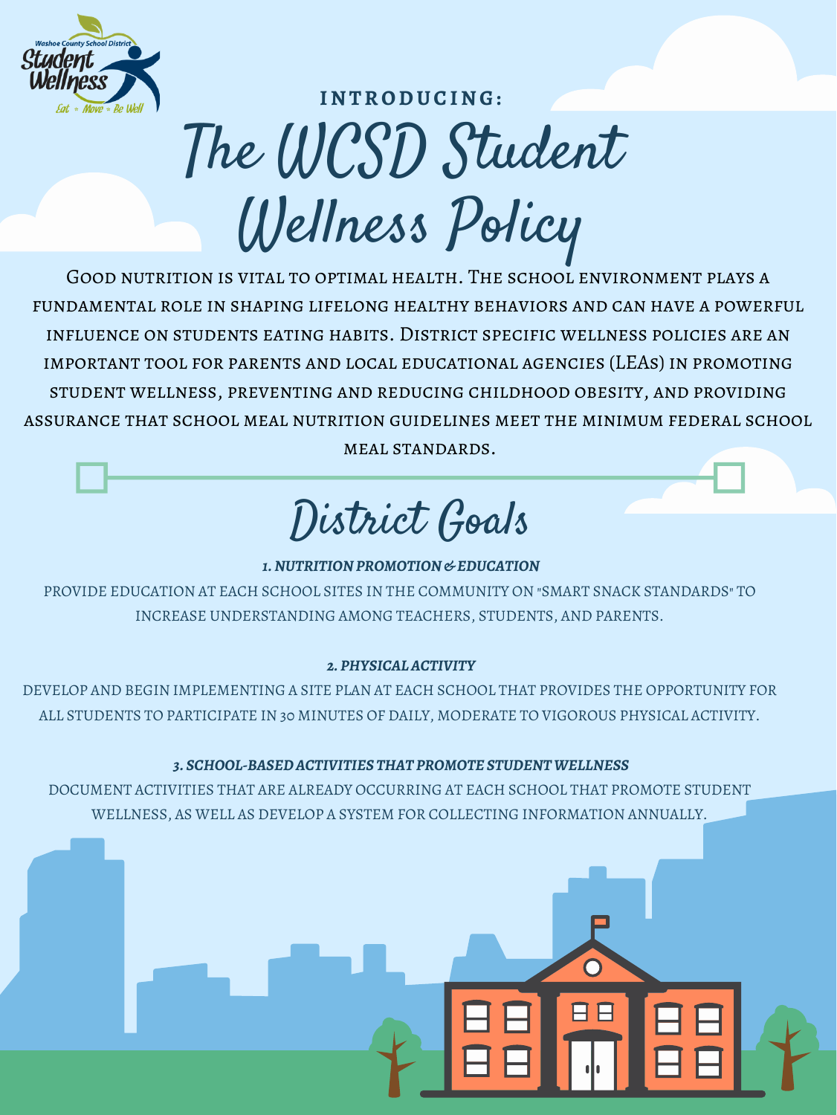

## The WCSD Student Wellness Policy **I N TRODUCI N G:**

*1. NUTRITION PROMOTION & EDUCATION*

### PROVIDE EDUCATION AT EACH SCHOOL SITES IN THE COMMUNITY ON "SMART SNACK STANDARDS" TO INCREASE UNDERSTANDING AMONG TEACHERS, STUDENTS, AND PARENTS.

#### *2. PHYSICALACTIVITY*

DEVELOP AND BEGIN IMPLEMENTING A SITE PLAN AT EACH SCHOOL THAT PROVIDES THE OPPORTUNITY FOR ALL STUDENTS TO PARTICIPATE IN 30 MINUTES OF DAILY, MODERATE TO VIGOROUS PHYSICAL ACTIVITY.

### *3. SCHOOL-BASEDACTIVITIES THAT PROMOTE STUDENTWELLNESS*

DOCUMENT ACTIVITIES THAT ARE ALREADY OCCURRING AT EACH SCHOOL THAT PROMOTE STUDENT WELLNESS, AS WELL AS DEVELOP A SYSTEM FOR COLLECTING INFORMATION ANNUALLY.



District Goals

Good nutrition is vital to optimal health. The school environment plays a fundamental role in shaping lifelong healthy behaviors and can have a powerful influence on students eating habits. District specific wellness policies are an important tool for parents and local educational agencies (LEAs) in promoting student wellness, preventing and reducing childhood obesity, and providing assurance that school meal nutrition guidelines meet the minimum federal school

meal standards.